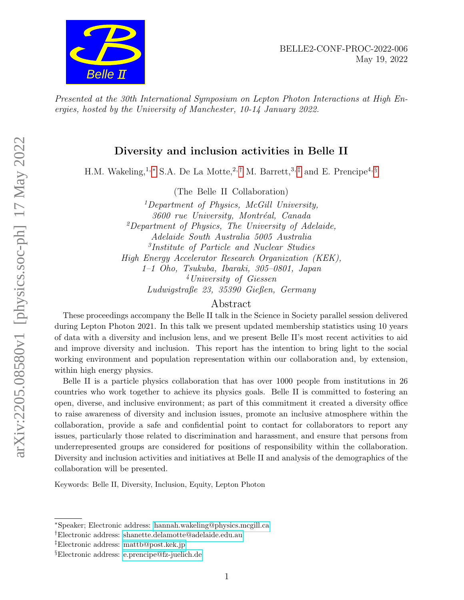

Presented at the 30th International Symposium on Lepton Photon Interactions at High Energies, hosted by the University of Manchester, 10-14 January 2022.

# Diversity and inclusion activities in Belle II

H.M. Wakeling,<sup>1,\*</sup> S.A. De La Motte,<sup>2,[†](#page-0-1)</sup> M. Barrett,<sup>3,[‡](#page-0-2)</sup> and E. Prencipe<sup>4, [§](#page-0-3)</sup>

(The Belle II Collaboration)

<sup>1</sup>Department of Physics, McGill University, 3600 rue University, Montréal, Canada  ${}^{2}$ Department of Physics, The University of Adelaide, Adelaide South Australia 5005 Australia 3 Institute of Particle and Nuclear Studies High Energy Accelerator Research Organization (KEK), 1–1 Oho, Tsukuba, Ibaraki, 305–0801, Japan <sup>4</sup>University of Giessen Ludwigstraße 23, 35390 Gießen, Germany

## Abstract

These proceedings accompany the Belle II talk in the Science in Society parallel session delivered during Lepton Photon 2021. In this talk we present updated membership statistics using 10 years of data with a diversity and inclusion lens, and we present Belle II's most recent activities to aid and improve diversity and inclusion. This report has the intention to bring light to the social working environment and population representation within our collaboration and, by extension, within high energy physics.

Belle II is a particle physics collaboration that has over 1000 people from institutions in 26 countries who work together to achieve its physics goals. Belle II is committed to fostering an open, diverse, and inclusive environment; as part of this commitment it created a diversity office to raise awareness of diversity and inclusion issues, promote an inclusive atmosphere within the collaboration, provide a safe and confidential point to contact for collaborators to report any issues, particularly those related to discrimination and harassment, and ensure that persons from underrepresented groups are considered for positions of responsibility within the collaboration. Diversity and inclusion activities and initiatives at Belle II and analysis of the demographics of the collaboration will be presented.

Keywords: Belle II, Diversity, Inclusion, Equity, Lepton Photon

<span id="page-0-1"></span><span id="page-0-0"></span><sup>∗</sup>Speaker; Electronic address: [hannah.wakeling@physics.mcgill.ca](mailto:hannah.wakeling@physics.mcgill.ca)

<span id="page-0-2"></span><sup>†</sup>Electronic address: [shanette.delamotte@adelaide.edu.au](mailto:shanette.delamotte@adelaide.edu.au)

<span id="page-0-3"></span><sup>‡</sup>Electronic address: [mattb@post.kek.jp](mailto:mattb@post.kek.jp)

<sup>§</sup>Electronic address: [e.prencipe@fz-juelich.de](mailto:e.prencipe@fz-juelich.de)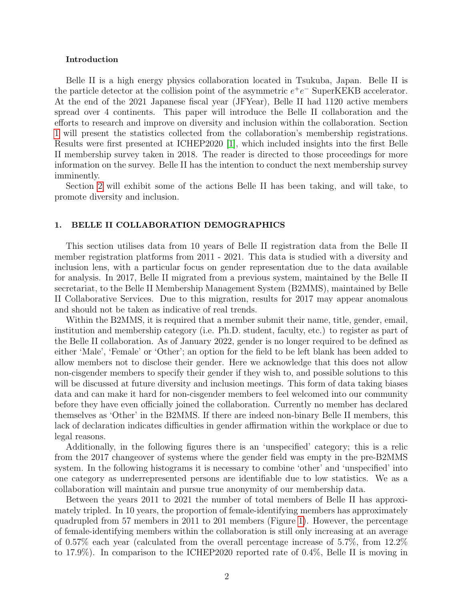#### Introduction

Belle II is a high energy physics collaboration located in Tsukuba, Japan. Belle II is the particle detector at the collision point of the asymmetric  $e^+e^-$  SuperKEKB accelerator. At the end of the 2021 Japanese fiscal year (JFYear), Belle II had 1120 active members spread over 4 continents. This paper will introduce the Belle II collaboration and the efforts to research and improve on diversity and inclusion within the collaboration. Section [1](#page-1-0) will present the statistics collected from the collaboration's membership registrations. Results were first presented at ICHEP2020 [\[1\]](#page-4-0), which included insights into the first Belle II membership survey taken in 2018. The reader is directed to those proceedings for more information on the survey. Belle II has the intention to conduct the next membership survey imminently.

Section [2](#page-3-0) will exhibit some of the actions Belle II has been taking, and will take, to promote diversity and inclusion.

### <span id="page-1-0"></span>1. BELLE II COLLABORATION DEMOGRAPHICS

This section utilises data from 10 years of Belle II registration data from the Belle II member registration platforms from 2011 - 2021. This data is studied with a diversity and inclusion lens, with a particular focus on gender representation due to the data available for analysis. In 2017, Belle II migrated from a previous system, maintained by the Belle II secretariat, to the Belle II Membership Management System (B2MMS), maintained by Belle II Collaborative Services. Due to this migration, results for 2017 may appear anomalous and should not be taken as indicative of real trends.

Within the B2MMS, it is required that a member submit their name, title, gender, email, institution and membership category (i.e. Ph.D. student, faculty, etc.) to register as part of the Belle II collaboration. As of January 2022, gender is no longer required to be defined as either 'Male', 'Female' or 'Other'; an option for the field to be left blank has been added to allow members not to disclose their gender. Here we acknowledge that this does not allow non-cisgender members to specify their gender if they wish to, and possible solutions to this will be discussed at future diversity and inclusion meetings. This form of data taking biases data and can make it hard for non-cisgender members to feel welcomed into our community before they have even officially joined the collaboration. Currently no member has declared themselves as 'Other' in the B2MMS. If there are indeed non-binary Belle II members, this lack of declaration indicates difficulties in gender affirmation within the workplace or due to legal reasons.

Additionally, in the following figures there is an 'unspecified' category; this is a relic from the 2017 changeover of systems where the gender field was empty in the pre-B2MMS system. In the following histograms it is necessary to combine 'other' and 'unspecified' into one category as underrepresented persons are identifiable due to low statistics. We as a collaboration will maintain and pursue true anonymity of our membership data.

Between the years 2011 to 2021 the number of total members of Belle II has approximately tripled. In 10 years, the proportion of female-identifying members has approximately quadrupled from 57 members in 2011 to 201 members (Figure [1\)](#page-2-0). However, the percentage of female-identifying members within the collaboration is still only increasing at an average of 0.57% each year (calculated from the overall percentage increase of 5.7%, from 12.2% to 17.9%). In comparison to the ICHEP2020 reported rate of 0.4%, Belle II is moving in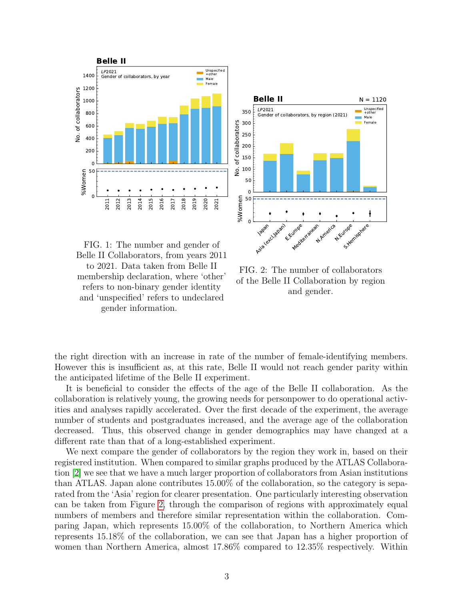<span id="page-2-0"></span>





FIG. 2: The number of collaborators of the Belle II Collaboration by region and gender.

the right direction with an increase in rate of the number of female-identifying members. However this is insufficient as, at this rate, Belle II would not reach gender parity within the anticipated lifetime of the Belle II experiment.

It is beneficial to consider the effects of the age of the Belle II collaboration. As the collaboration is relatively young, the growing needs for personpower to do operational activities and analyses rapidly accelerated. Over the first decade of the experiment, the average number of students and postgraduates increased, and the average age of the collaboration decreased. Thus, this observed change in gender demographics may have changed at a different rate than that of a long-established experiment.

We next compare the gender of collaborators by the region they work in, based on their registered institution. When compared to similar graphs produced by the ATLAS Collaboration [\[2\]](#page-4-1) we see that we have a much larger proportion of collaborators from Asian institutions than ATLAS. Japan alone contributes 15.00% of the collaboration, so the category is separated from the 'Asia' region for clearer presentation. One particularly interesting observation can be taken from Figure [2,](#page-2-0) through the comparison of regions with approximately equal numbers of members and therefore similar representation within the collaboration. Comparing Japan, which represents 15.00% of the collaboration, to Northern America which represents 15.18% of the collaboration, we can see that Japan has a higher proportion of women than Northern America, almost 17.86% compared to 12.35% respectively. Within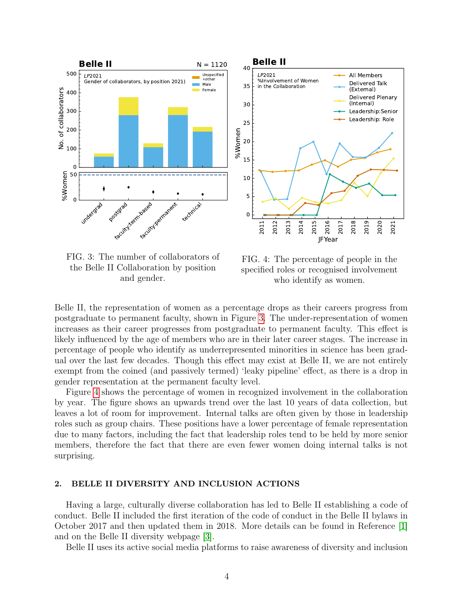<span id="page-3-1"></span>

FIG. 3: The number of collaborators of the Belle II Collaboration by position and gender.

FIG. 4: The percentage of people in the specified roles or recognised involvement who identify as women.

Belle II, the representation of women as a percentage drops as their careers progress from postgraduate to permanent faculty, shown in Figure [3.](#page-3-1) The under-representation of women increases as their career progresses from postgraduate to permanent faculty. This effect is likely influenced by the age of members who are in their later career stages. The increase in percentage of people who identify as underrepresented minorities in science has been gradual over the last few decades. Though this effect may exist at Belle II, we are not entirely exempt from the coined (and passively termed) 'leaky pipeline' effect, as there is a drop in gender representation at the permanent faculty level.

Figure [4](#page-3-1) shows the percentage of women in recognized involvement in the collaboration by year. The figure shows an upwards trend over the last 10 years of data collection, but leaves a lot of room for improvement. Internal talks are often given by those in leadership roles such as group chairs. These positions have a lower percentage of female representation due to many factors, including the fact that leadership roles tend to be held by more senior members, therefore the fact that there are even fewer women doing internal talks is not surprising.

### <span id="page-3-0"></span>2. BELLE II DIVERSITY AND INCLUSION ACTIONS

Having a large, culturally diverse collaboration has led to Belle II establishing a code of conduct. Belle II included the first iteration of the code of conduct in the Belle II bylaws in October 2017 and then updated them in 2018. More details can be found in Reference [\[1\]](#page-4-0) and on the Belle II diversity webpage [\[3\]](#page-4-2).

Belle II uses its active social media platforms to raise awareness of diversity and inclusion